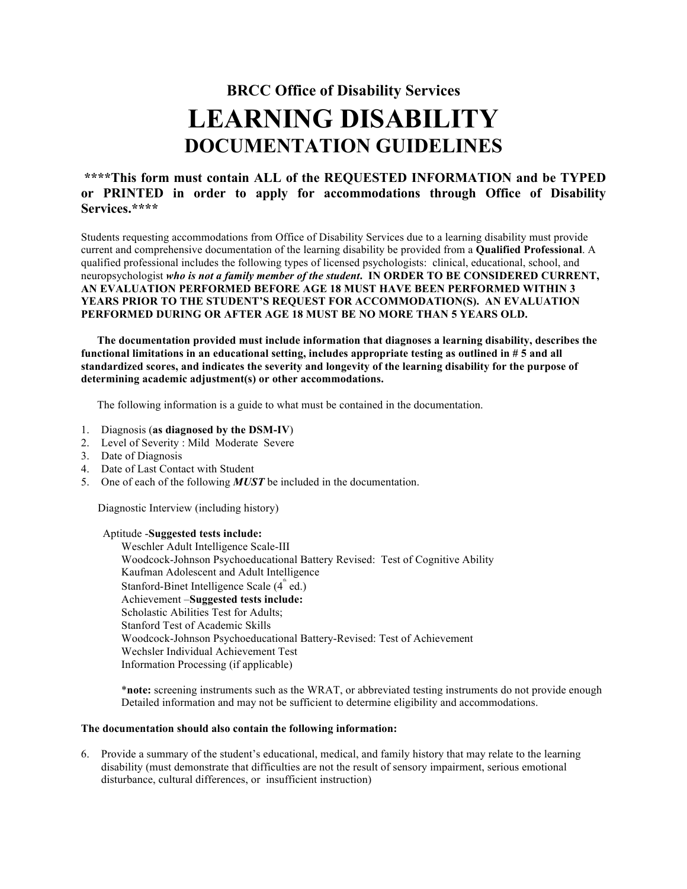## **BRCC Office of Disability Services LEARNING DISABILITY DOCUMENTATION GUIDELINES**

## **\*\*\*\*This form must contain ALL of the REQUESTED INFORMATION and be TYPED or PRINTED in order to apply for accommodations through Office of Disability Services.\*\*\*\***

Students requesting accommodations from Office of Disability Services due to a learning disability must provide current and comprehensive documentation of the learning disability be provided from a **Qualified Professional**. A qualified professional includes the following types of licensed psychologists: clinical, educational, school, and neuropsychologist *who is not a family member of the student***. IN ORDER TO BE CONSIDERED CURRENT, AN EVALUATION PERFORMED BEFORE AGE 18 MUST HAVE BEEN PERFORMED WITHIN 3 YEARS PRIOR TO THE STUDENT'S REQUEST FOR ACCOMMODATION(S). AN EVALUATION PERFORMED DURING OR AFTER AGE 18 MUST BE NO MORE THAN 5 YEARS OLD.** 

**The documentation provided must include information that diagnoses a learning disability, describes the functional limitations in an educational setting, includes appropriate testing as outlined in # 5 and all standardized scores, and indicates the severity and longevity of the learning disability for the purpose of determining academic adjustment(s) or other accommodations.** 

The following information is a guide to what must be contained in the documentation.

- 1. Diagnosis (**as diagnosed by the DSM-IV**)
- 2. Level of Severity : Mild Moderate Severe
- 3. Date of Diagnosis
- 4. Date of Last Contact with Student
- 5. One of each of the following *MUST* be included in the documentation.

Diagnostic Interview (including history)

## Aptitude -**Suggested tests include:**

Weschler Adult Intelligence Scale-III Woodcock-Johnson Psychoeducational Battery Revised: Test of Cognitive Ability Kaufman Adolescent and Adult Intelligence Stanford-Binet Intelligence Scale (4<sup>th</sup> ed.) Achievement –**Suggested tests include:**  Scholastic Abilities Test for Adults; Stanford Test of Academic Skills Woodcock-Johnson Psychoeducational Battery-Revised: Test of Achievement Wechsler Individual Achievement Test Information Processing (if applicable)

\***note:** screening instruments such as the WRAT, or abbreviated testing instruments do not provide enough Detailed information and may not be sufficient to determine eligibility and accommodations.

## **The documentation should also contain the following information:**

6. Provide a summary of the student's educational, medical, and family history that may relate to the learning disability (must demonstrate that difficulties are not the result of sensory impairment, serious emotional disturbance, cultural differences, or insufficient instruction)